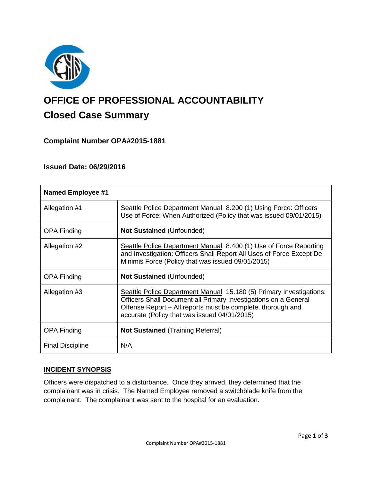

# **OFFICE OF PROFESSIONAL ACCOUNTABILITY Closed Case Summary**

## **Complaint Number OPA#2015-1881**

## **Issued Date: 06/29/2016**

| <b>Named Employee #1</b> |                                                                                                                                                                                                                                                       |
|--------------------------|-------------------------------------------------------------------------------------------------------------------------------------------------------------------------------------------------------------------------------------------------------|
| Allegation #1            | Seattle Police Department Manual 8.200 (1) Using Force: Officers<br>Use of Force: When Authorized (Policy that was issued 09/01/2015)                                                                                                                 |
| <b>OPA Finding</b>       | <b>Not Sustained (Unfounded)</b>                                                                                                                                                                                                                      |
| Allegation #2            | Seattle Police Department Manual 8.400 (1) Use of Force Reporting<br>and Investigation: Officers Shall Report All Uses of Force Except De<br>Minimis Force (Policy that was issued 09/01/2015)                                                        |
| <b>OPA Finding</b>       | <b>Not Sustained (Unfounded)</b>                                                                                                                                                                                                                      |
| Allegation #3            | Seattle Police Department Manual 15.180 (5) Primary Investigations:<br>Officers Shall Document all Primary Investigations on a General<br>Offense Report - All reports must be complete, thorough and<br>accurate (Policy that was issued 04/01/2015) |
| <b>OPA Finding</b>       | <b>Not Sustained (Training Referral)</b>                                                                                                                                                                                                              |
| <b>Final Discipline</b>  | N/A                                                                                                                                                                                                                                                   |

#### **INCIDENT SYNOPSIS**

Officers were dispatched to a disturbance. Once they arrived, they determined that the complainant was in crisis. The Named Employee removed a switchblade knife from the complainant. The complainant was sent to the hospital for an evaluation.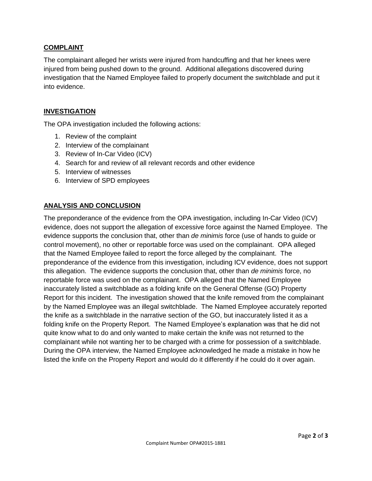## **COMPLAINT**

The complainant alleged her wrists were injured from handcuffing and that her knees were injured from being pushed down to the ground. Additional allegations discovered during investigation that the Named Employee failed to properly document the switchblade and put it into evidence.

## **INVESTIGATION**

The OPA investigation included the following actions:

- 1. Review of the complaint
- 2. Interview of the complainant
- 3. Review of In-Car Video (ICV)
- 4. Search for and review of all relevant records and other evidence
- 5. Interview of witnesses
- 6. Interview of SPD employees

## **ANALYSIS AND CONCLUSION**

The preponderance of the evidence from the OPA investigation, including In-Car Video (ICV) evidence, does not support the allegation of excessive force against the Named Employee. The evidence supports the conclusion that, other than *de minimis* force (use of hands to guide or control movement), no other or reportable force was used on the complainant. OPA alleged that the Named Employee failed to report the force alleged by the complainant. The preponderance of the evidence from this investigation, including ICV evidence, does not support this allegation. The evidence supports the conclusion that, other than *de minimis* force, no reportable force was used on the complainant. OPA alleged that the Named Employee inaccurately listed a switchblade as a folding knife on the General Offense (GO) Property Report for this incident. The investigation showed that the knife removed from the complainant by the Named Employee was an illegal switchblade. The Named Employee accurately reported the knife as a switchblade in the narrative section of the GO, but inaccurately listed it as a folding knife on the Property Report. The Named Employee's explanation was that he did not quite know what to do and only wanted to make certain the knife was not returned to the complainant while not wanting her to be charged with a crime for possession of a switchblade. During the OPA interview, the Named Employee acknowledged he made a mistake in how he listed the knife on the Property Report and would do it differently if he could do it over again.